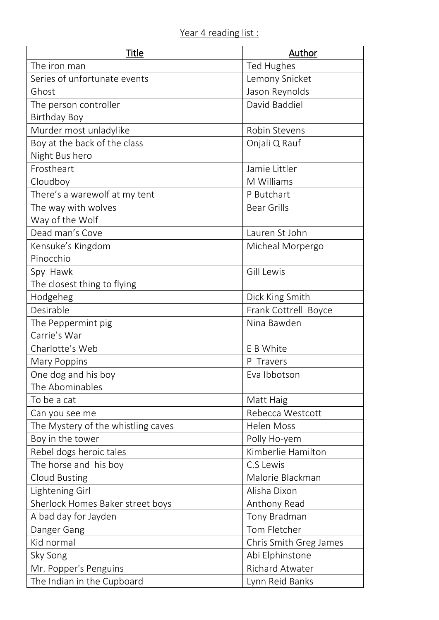| Title                              | Author                 |
|------------------------------------|------------------------|
| The iron man                       | <b>Ted Hughes</b>      |
| Series of unfortunate events       | Lemony Snicket         |
| Ghost                              | Jason Reynolds         |
| The person controller              | David Baddiel          |
| <b>Birthday Boy</b>                |                        |
| Murder most unladylike             | Robin Stevens          |
| Boy at the back of the class       | Onjali Q Rauf          |
| Night Bus hero                     |                        |
| Frostheart                         | Jamie Littler          |
| Cloudboy                           | M Williams             |
| There's a warewolf at my tent      | P Butchart             |
| The way with wolves                | <b>Bear Grills</b>     |
| Way of the Wolf                    |                        |
| Dead man's Cove                    | Lauren St John         |
| Kensuke's Kingdom                  | Micheal Morpergo       |
| Pinocchio                          |                        |
| Spy Hawk                           | Gill Lewis             |
| The closest thing to flying        |                        |
| Hodgeheg                           | Dick King Smith        |
| Desirable                          | Frank Cottrell Boyce   |
| The Peppermint pig                 | Nina Bawden            |
| Carrie's War                       |                        |
| Charlotte's Web                    | E B White              |
| Mary Poppins                       | P Travers              |
| One dog and his boy                | Eva Ibbotson           |
| The Abominables                    |                        |
| To be a cat                        | Matt Haig              |
| Can you see me                     | Rebecca Westcott       |
| The Mystery of the whistling caves | Helen Moss             |
| Boy in the tower                   | Polly Ho-yem           |
| Rebel dogs heroic tales            | Kimberlie Hamilton     |
| The horse and his boy              | C.S Lewis              |
| <b>Cloud Busting</b>               | Malorie Blackman       |
| Lightening Girl                    | Alisha Dixon           |
| Sherlock Homes Baker street boys   | Anthony Read           |
| A bad day for Jayden               | Tony Bradman           |
| Danger Gang                        | Tom Fletcher           |
| Kid normal                         | Chris Smith Greg James |
| Sky Song                           | Abi Elphinstone        |
| Mr. Popper's Penguins              | <b>Richard Atwater</b> |
| The Indian in the Cupboard         | Lynn Reid Banks        |